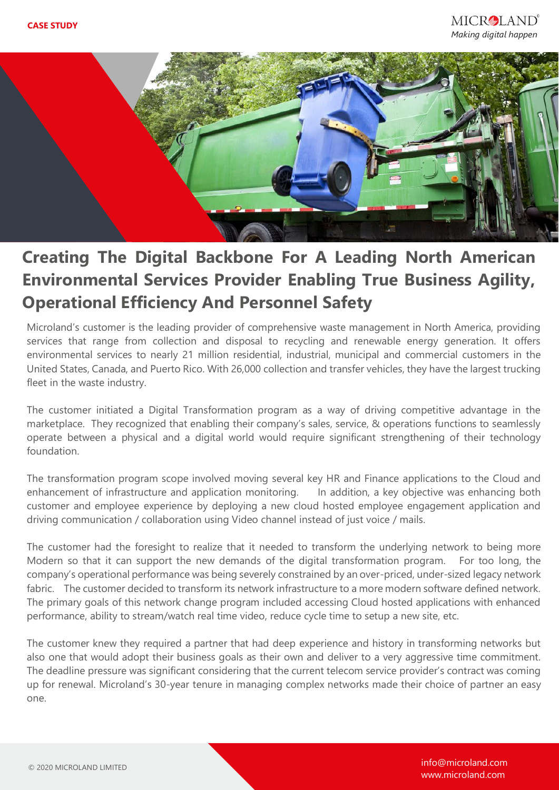

## **Creating The Digital Backbone For A Leading North American Environmental Services Provider Enabling True Business Agility, Operational Efficiency And Personnel Safety**

Microland's customer is the leading provider of comprehensive waste management in North America, providing services that range from collection and disposal to recycling and renewable energy generation. It offers environmental services to nearly 21 million residential, industrial, municipal and commercial customers in the United States, Canada, and Puerto Rico. With 26,000 collection and transfer vehicles, they have the largest trucking fleet in the waste industry.

The customer initiated a Digital Transformation program as a way of driving competitive advantage in the marketplace. They recognized that enabling their company's sales, service, & operations functions to seamlessly operate between a physical and a digital world would require significant strengthening of their technology foundation.

The transformation program scope involved moving several key HR and Finance applications to the Cloud and enhancement of infrastructure and application monitoring. In addition, a key objective was enhancing both customer and employee experience by deploying a new cloud hosted employee engagement application and driving communication / collaboration using Video channel instead of just voice / mails.

The customer had the foresight to realize that it needed to transform the underlying network to being more Modern so that it can support the new demands of the digital transformation program. For too long, the company's operational performance was being severely constrained by an over-priced, under-sized legacy network fabric. The customer decided to transform its network infrastructure to a more modern software defined network. The primary goals of this network change program included accessing Cloud hosted applications with enhanced performance, ability to stream/watch real time video, reduce cycle time to setup a new site, etc.

The customer knew they required a partner that had deep experience and history in transforming networks but also one that would adopt their business goals as their own and deliver to a very aggressive time commitment. The deadline pressure was significant considering that the current telecom service provider's contract was coming up for renewal. Microland's 30-year tenure in managing complex networks made their choice of partner an easy one.